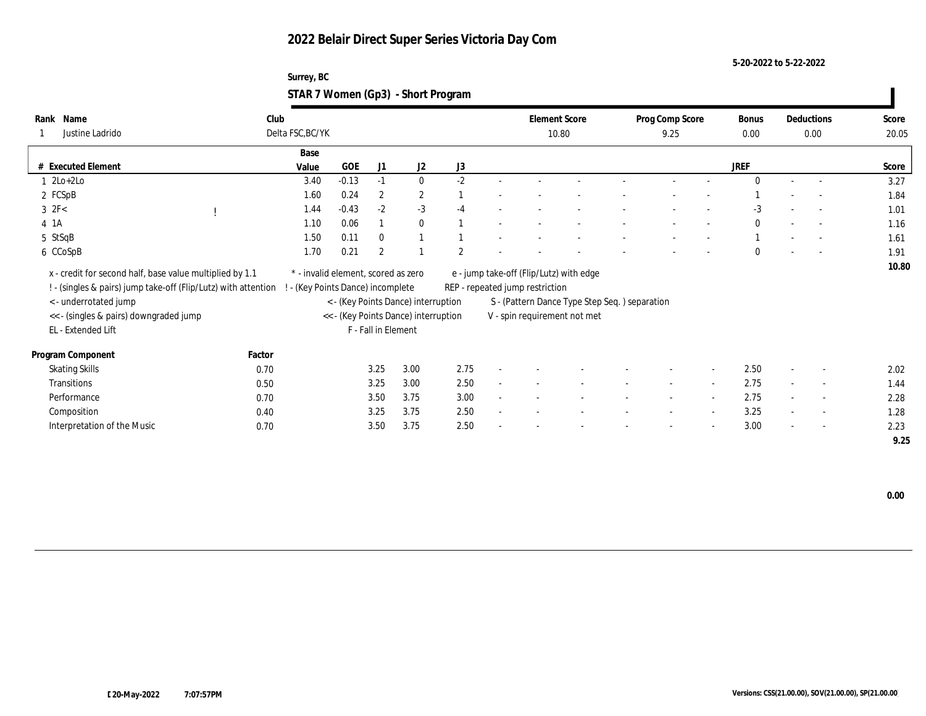**5-20-2022 to 5-22-2022**

| Surrey, BC                         |  |
|------------------------------------|--|
| STAR 7 Women (Gp3) - Short Program |  |

| Name<br>Rank<br>Justine Ladrido                                 | Club<br>Delta FSC, BC/YK            |                               |                     |                                                                             |      | <b>Element Score</b>            | 10.80                                         | Prog Comp Score<br>9.25  |                          | Bonus<br>0.00 |                          | Deductions<br>$0.00\,$   | Score<br>20.05 |
|-----------------------------------------------------------------|-------------------------------------|-------------------------------|---------------------|-----------------------------------------------------------------------------|------|---------------------------------|-----------------------------------------------|--------------------------|--------------------------|---------------|--------------------------|--------------------------|----------------|
|                                                                 | Base                                |                               |                     |                                                                             |      |                                 |                                               |                          |                          |               |                          |                          |                |
| # Executed Element                                              | Value                               | GOE                           | J1                  | J2                                                                          | J3   |                                 |                                               |                          |                          | <b>JREF</b>   |                          |                          | Score          |
| $1 \text{2Lo}+2\text{Lo}$                                       | 3.40                                | $-0.13$                       | $-1$                | $\mathbf{0}$                                                                | $-2$ |                                 |                                               |                          |                          | $\Omega$      |                          |                          | 3.27           |
| 2 FCSpB                                                         | 1.60                                | 0.24                          | $\overline{2}$      | $\mathbf{2}$                                                                |      |                                 |                                               |                          |                          |               |                          |                          | 1.84           |
| $3$ $2F<$                                                       | 1.44                                | $-0.43$                       | $-2$                | $-3$                                                                        | $-4$ |                                 |                                               |                          |                          | $-3$          |                          | $\sim$                   | 1.01           |
| 4 1A                                                            | 1.10                                | 0.06                          |                     | $\mathbf{0}$                                                                |      |                                 |                                               |                          |                          | $\mathbf{0}$  |                          | $\overline{a}$           | 1.16           |
| 5 StSqB                                                         | 1.50                                | 0.11                          | $\mathbf{0}$        |                                                                             |      |                                 |                                               |                          |                          |               |                          |                          | 1.61           |
| 6 CCoSpB                                                        | 1.70                                | 0.21                          | $\overline{2}$      |                                                                             | 2    |                                 |                                               |                          |                          | $\Omega$      |                          |                          | 1.91           |
| x - credit for second half, base value multiplied by 1.1        | * - invalid element, scored as zero |                               |                     |                                                                             |      | REP - repeated jump restriction | e - jump take-off (Flip/Lutz) with edge       |                          |                          |               |                          |                          | 10.80          |
| ! - (singles & pairs) jump take-off (Flip/Lutz) with attention  |                                     | (Key Points Dance) incomplete |                     |                                                                             |      |                                 | S - (Pattern Dance Type Step Seq.) separation |                          |                          |               |                          |                          |                |
| < - underrotated jump<br><< - (singles & pairs) downgraded jump |                                     |                               |                     | < - (Key Points Dance) interruption<br><< - (Key Points Dance) interruption |      |                                 | V - spin requirement not met                  |                          |                          |               |                          |                          |                |
| EL - Extended Lift                                              |                                     |                               | F - Fall in Element |                                                                             |      |                                 |                                               |                          |                          |               |                          |                          |                |
| Program Component                                               | Factor                              |                               |                     |                                                                             |      |                                 |                                               |                          |                          |               |                          |                          |                |
| <b>Skating Skills</b>                                           | 0.70                                |                               | 3.25                | 3.00                                                                        | 2.75 |                                 |                                               |                          | $\sim$                   | 2.50          |                          | $\sim$                   | 2.02           |
| Transitions                                                     | 0.50                                |                               | 3.25                | 3.00                                                                        | 2.50 |                                 |                                               |                          | $\sim$                   | 2.75          |                          | $\sim$                   | 1.44           |
| Performance                                                     | 0.70                                |                               | 3.50                | 3.75                                                                        | 3.00 |                                 |                                               | $\overline{\phantom{a}}$ | $\sim$                   | 2.75          | $\sim$                   | $\overline{\phantom{a}}$ | 2.28           |
| Composition                                                     | 0.40                                |                               | 3.25                | 3.75                                                                        | 2.50 |                                 |                                               |                          | $\sim$                   | 3.25          | $\sim$                   | $\sim$                   | 1.28           |
| Interpretation of the Music                                     | 0.70                                |                               | 3.50                | 3.75                                                                        | 2.50 |                                 |                                               |                          | $\overline{\phantom{a}}$ | 3.00          | $\overline{\phantom{a}}$ | $\overline{\phantom{a}}$ | 2.23           |
|                                                                 |                                     |                               |                     |                                                                             |      |                                 |                                               |                          |                          |               |                          |                          | 9.25           |

 **0.00**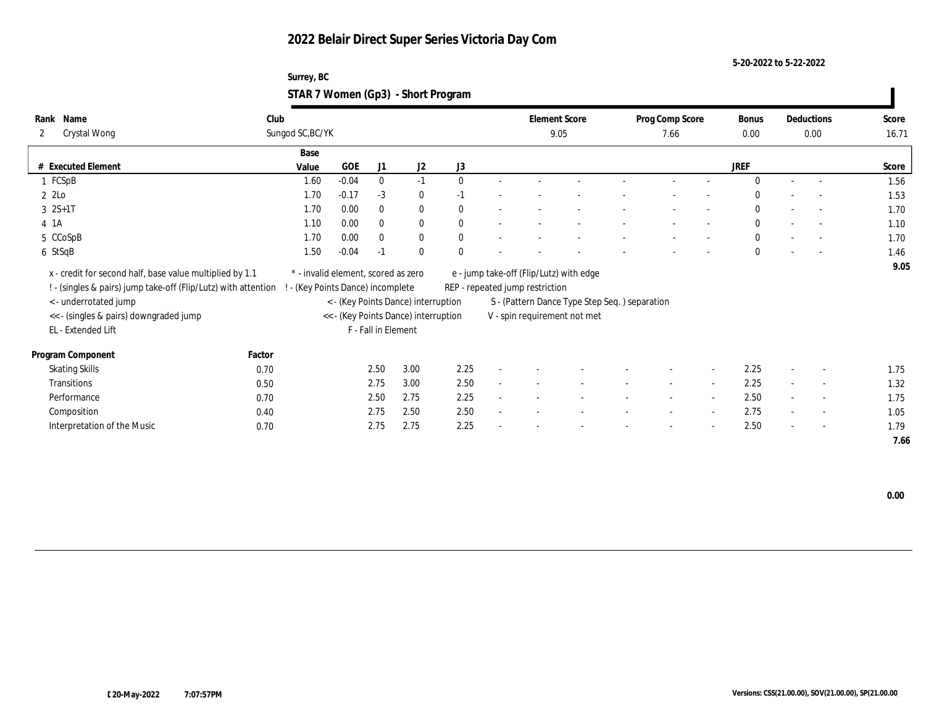**5-20-2022 to 5-22-2022**

| Surrey, BC                         |  |
|------------------------------------|--|
| STAR 7 Women (Gp3) - Short Program |  |

| Name<br>Rank<br>Crystal Wong<br>$\mathbf{2}$                                                                               | Club<br>Sungod SC, BC/YK |                                                                        |                     |                                      |              |                                 | <b>Element Score</b><br>9.05                  | Prog Comp Score<br>7.66 |                          | Bonus<br>0.00 |                          | Deductions<br>0.00       | Score<br>16.71 |
|----------------------------------------------------------------------------------------------------------------------------|--------------------------|------------------------------------------------------------------------|---------------------|--------------------------------------|--------------|---------------------------------|-----------------------------------------------|-------------------------|--------------------------|---------------|--------------------------|--------------------------|----------------|
|                                                                                                                            | Base                     |                                                                        |                     |                                      |              |                                 |                                               |                         |                          |               |                          |                          |                |
| # Executed Element                                                                                                         | Value                    | GOE                                                                    | J1                  | J2                                   | J3           |                                 |                                               |                         |                          | <b>JREF</b>   |                          |                          | Score          |
| 1 FCSpB                                                                                                                    | 1.60                     | $-0.04$                                                                | $\bf{0}$            | $-1$                                 | $\Omega$     |                                 |                                               |                         |                          | $\Omega$      |                          | $\overline{a}$           | 1.56           |
| $2$ $2$ Lo                                                                                                                 | 1.70                     | $-0.17$                                                                | $-3$                | $\bf{0}$                             | $-1$         |                                 |                                               |                         |                          | $\Omega$      |                          | $\sim$                   | 1.53           |
| $3 \ 2S+1T$                                                                                                                | 1.70                     | 0.00                                                                   | $\bf{0}$            | $\bf{0}$                             | $\mathbf{0}$ |                                 |                                               |                         |                          | $\bf{0}$      |                          | $\sim$                   | 1.70           |
| 4 1 A                                                                                                                      | 1.10                     | 0.00                                                                   | $\mathbf{0}$        | $\bf{0}$                             | $\mathbf{0}$ |                                 |                                               |                         | $\overline{\phantom{a}}$ | $\mathbf{0}$  |                          | $\overline{a}$           | 1.10           |
| 5 CCoSpB                                                                                                                   | 1.70                     | 0.00                                                                   | $\bf{0}$            | $\bf{0}$                             | $\mathbf{0}$ |                                 |                                               |                         |                          | $\mathbf{0}$  |                          |                          | 1.70           |
| 6 StSqB                                                                                                                    | 1.50                     | $-0.04$                                                                | $-1$                | $\theta$                             | $\theta$     |                                 |                                               |                         | $\overline{\phantom{a}}$ | $\theta$      |                          | $\overline{\phantom{a}}$ | 1.46           |
| x - credit for second half, base value multiplied by 1.1<br>! - (singles & pairs) jump take-off (Flip/Lutz) with attention |                          | * - invalid element, scored as zero<br>- (Key Points Dance) incomplete |                     |                                      |              | REP - repeated jump restriction | e - jump take-off (Flip/Lutz) with edge       |                         |                          |               |                          |                          | 9.05           |
| < - underrotated jump                                                                                                      |                          |                                                                        |                     | < - (Key Points Dance) interruption  |              |                                 | S - (Pattern Dance Type Step Seq.) separation |                         |                          |               |                          |                          |                |
| << - (singles & pairs) downgraded jump                                                                                     |                          |                                                                        |                     | << - (Key Points Dance) interruption |              |                                 | V - spin requirement not met                  |                         |                          |               |                          |                          |                |
| EL - Extended Lift                                                                                                         |                          |                                                                        | F - Fall in Element |                                      |              |                                 |                                               |                         |                          |               |                          |                          |                |
| Program Component                                                                                                          | Factor                   |                                                                        |                     |                                      |              |                                 |                                               |                         |                          |               |                          |                          |                |
| <b>Skating Skills</b>                                                                                                      | 0.70                     |                                                                        | 2.50                | 3.00                                 | 2.25         |                                 |                                               |                         | $\sim$                   | 2.25          | $\overline{\phantom{a}}$ | $\overline{\phantom{a}}$ | 1.75           |
| Transitions                                                                                                                | 0.50                     |                                                                        | 2.75                | 3.00                                 | 2.50         |                                 |                                               | $\sim$                  | $\sim$                   | 2.25          |                          | $\sim$                   | 1.32           |
| Performance                                                                                                                | 0.70                     |                                                                        | 2.50                | 2.75                                 | 2.25         |                                 |                                               | $\sim$                  | $\sim$                   | 2.50          | $\sim$                   | $\sim$                   | 1.75           |
| Composition                                                                                                                | 0.40                     |                                                                        | 2.75                | 2.50                                 | 2.50         |                                 |                                               |                         | $\sim$                   | 2.75          | $\sim$                   | $\sim$                   | 1.05           |
| Interpretation of the Music                                                                                                | 0.70                     |                                                                        | 2.75                | 2.75                                 | 2.25         |                                 |                                               |                         | $\sim$                   | 2.50          | $\sim$                   | $\sim$                   | 1.79           |
|                                                                                                                            |                          |                                                                        |                     |                                      |              |                                 |                                               |                         |                          |               |                          |                          | 7.66           |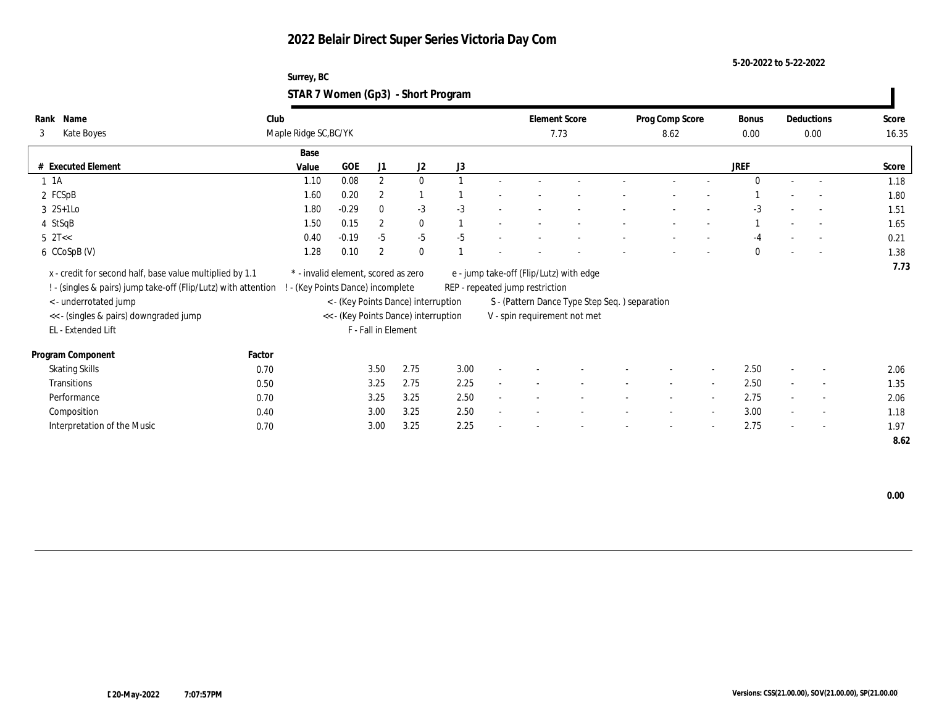**5-20-2022 to 5-22-2022**

| Surrey, BC                         |  |
|------------------------------------|--|
| STAR 7 Women (Gp3) - Short Program |  |

| Name<br>Rank<br>3<br><b>Kate Boyes</b>                                                                                     | Club   | Maple Ridge SC, BC/YK                                                    |                     |                                      |      |                                 | <b>Element Score</b><br>7.73                  | Prog Comp Score<br>8.62  |        | Bonus<br>0.00 |        | Deductions<br>0.00       | Score<br>16.35 |
|----------------------------------------------------------------------------------------------------------------------------|--------|--------------------------------------------------------------------------|---------------------|--------------------------------------|------|---------------------------------|-----------------------------------------------|--------------------------|--------|---------------|--------|--------------------------|----------------|
|                                                                                                                            |        | Base                                                                     |                     |                                      |      |                                 |                                               |                          |        |               |        |                          |                |
| # Executed Element                                                                                                         |        | GOE<br>Value                                                             | J1                  | J2                                   | J3   |                                 |                                               |                          |        | <b>JREF</b>   |        |                          | Score          |
| $1 \t1A$                                                                                                                   |        | 0.08<br>1.10                                                             | $\mathbf{2}$        | $\mathbf{0}$                         |      |                                 |                                               |                          |        | $\Omega$      |        |                          | 1.18           |
| 2 FCSpB                                                                                                                    |        | 0.20<br>1.60                                                             | $\boldsymbol{2}$    |                                      |      |                                 |                                               |                          |        |               |        |                          | 1.80           |
| $3 \t2S+1Lo$                                                                                                               |        | $-0.29$<br>1.80                                                          | $\mathbf{0}$        | $-3$                                 | $-3$ |                                 |                                               |                          |        | $-3$          |        | $\sim$                   | 1.51           |
| 4 StSqB                                                                                                                    |        | 1.50<br>0.15                                                             | $\overline{2}$      | $\bf{0}$                             |      |                                 |                                               |                          |        |               |        |                          | 1.65           |
| $5 \text{ } 2T <$                                                                                                          |        | $-0.19$<br>0.40                                                          | $-5$                | $-5$                                 | $-5$ |                                 |                                               |                          |        |               |        |                          | 0.21           |
| 6 CCoSpB (V)                                                                                                               |        | 1.28<br>0.10                                                             | $\overline{2}$      | $\mathbf{0}$                         |      |                                 |                                               |                          |        | $\Omega$      |        | $\overline{\phantom{a}}$ | 1.38           |
| x - credit for second half, base value multiplied by 1.1<br>! - (singles & pairs) jump take-off (Flip/Lutz) with attention |        | * - invalid element, scored as zero<br>! - (Key Points Dance) incomplete |                     |                                      |      | REP - repeated jump restriction | e - jump take-off (Flip/Lutz) with edge       |                          |        |               |        |                          | 7.73           |
| < - underrotated jump                                                                                                      |        |                                                                          |                     | < - (Key Points Dance) interruption  |      |                                 | S - (Pattern Dance Type Step Seq.) separation |                          |        |               |        |                          |                |
| << - (singles & pairs) downgraded jump                                                                                     |        |                                                                          |                     | << - (Key Points Dance) interruption |      |                                 | V - spin requirement not met                  |                          |        |               |        |                          |                |
| EL - Extended Lift                                                                                                         |        |                                                                          | F - Fall in Element |                                      |      |                                 |                                               |                          |        |               |        |                          |                |
| Program Component                                                                                                          | Factor |                                                                          |                     |                                      |      |                                 |                                               |                          |        |               |        |                          |                |
| <b>Skating Skills</b>                                                                                                      | 0.70   |                                                                          | 3.50                | 2.75                                 | 3.00 |                                 |                                               |                          | $\sim$ | 2.50          |        | $\overline{\phantom{a}}$ | 2.06           |
| Transitions                                                                                                                | 0.50   |                                                                          | 3.25                | 2.75                                 | 2.25 |                                 |                                               | $\overline{\phantom{a}}$ | $\sim$ | 2.50          |        | $\overline{\phantom{a}}$ | 1.35           |
| Performance                                                                                                                | 0.70   |                                                                          | 3.25                | 3.25                                 | 2.50 |                                 |                                               | $\overline{\phantom{a}}$ | $\sim$ | 2.75          | $\sim$ | $\sim$                   | 2.06           |
| Composition                                                                                                                | 0.40   |                                                                          | 3.00                | 3.25                                 | 2.50 |                                 |                                               |                          | $\sim$ | 3.00          | $\sim$ | $\overline{\phantom{a}}$ | 1.18           |
| Interpretation of the Music                                                                                                | 0.70   |                                                                          | 3.00                | 3.25                                 | 2.25 |                                 |                                               |                          | $\sim$ | 2.75          | $\sim$ | $\sim$                   | 1.97           |
|                                                                                                                            |        |                                                                          |                     |                                      |      |                                 |                                               |                          |        |               |        |                          | 8.62           |

 **0.00**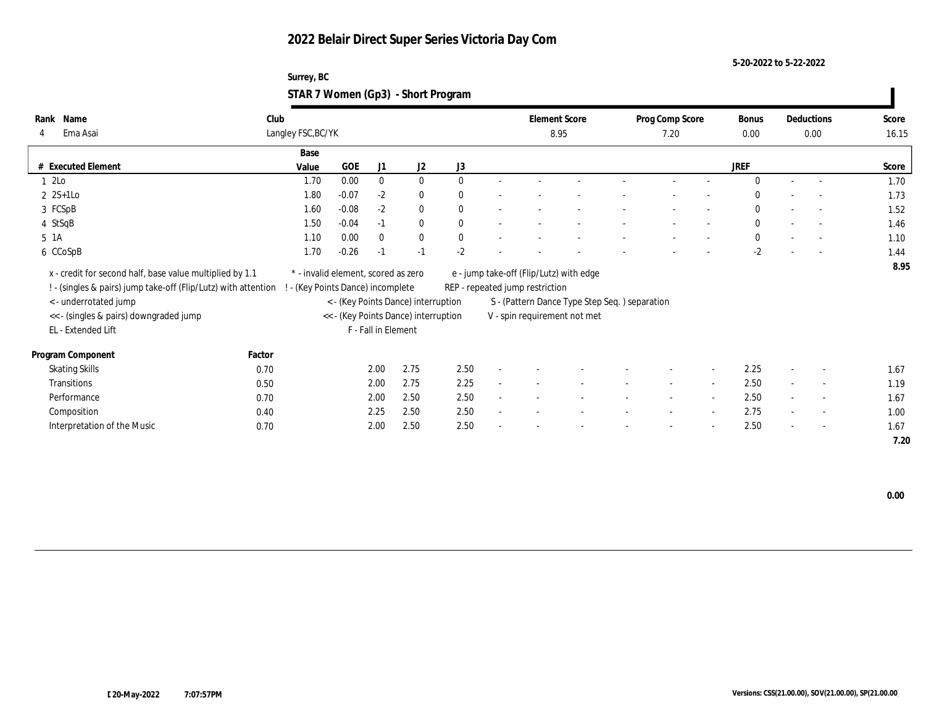**5-20-2022 to 5-22-2022**

| Surrey, BC                         |  |
|------------------------------------|--|
| STAR 7 Women (Gp3) - Short Program |  |

| Name<br>Rank<br>Ema Asai<br>$\overline{4}$                                                                                 | Club<br>Langley FSC, BC/YK |                                                                          |                     |                                      |              | <b>Element Score</b><br>8.95    |                                               | Prog Comp Score<br>7.20 |                          | Bonus<br>0.00 |                          | Deductions<br>$0.00\,$   | Score<br>16.15 |
|----------------------------------------------------------------------------------------------------------------------------|----------------------------|--------------------------------------------------------------------------|---------------------|--------------------------------------|--------------|---------------------------------|-----------------------------------------------|-------------------------|--------------------------|---------------|--------------------------|--------------------------|----------------|
|                                                                                                                            | Base                       |                                                                          |                     |                                      |              |                                 |                                               |                         |                          |               |                          |                          |                |
| # Executed Element                                                                                                         | Value                      | GOE                                                                      | J1                  | J <sub>2</sub>                       | J3           |                                 |                                               |                         |                          | <b>JREF</b>   |                          |                          | Score          |
| $12$ Lo                                                                                                                    | 1.70                       | 0.00                                                                     | $\bf{0}$            | $\bf{0}$                             | $\Omega$     |                                 |                                               |                         |                          | $\Omega$      |                          |                          | 1.70           |
| $2 \text{ } 2S+1LO$                                                                                                        | 1.80                       | $-0.07$                                                                  | $-2$                | $\bf{0}$                             | $\mathbf{0}$ |                                 |                                               |                         |                          | $\Omega$      |                          |                          | 1.73           |
| 3 FCSpB                                                                                                                    | 1.60                       | $-0.08$                                                                  | $-2$                | $\bf{0}$                             | $\theta$     |                                 |                                               |                         |                          | $\mathbf{0}$  |                          | $\sim$                   | 1.52           |
| 4 StSqB                                                                                                                    | 1.50                       | $-0.04$                                                                  | $-1$                | $\mathbf{0}$                         | $\mathbf{0}$ |                                 |                                               |                         |                          | $\mathbf{0}$  |                          | $\overline{a}$           | 1.46           |
| 5 1A                                                                                                                       | 1.10                       | 0.00                                                                     | $\Omega$            | $\bf{0}$                             | $\mathbf{0}$ |                                 |                                               |                         |                          | $\mathbf{0}$  |                          | $\overline{\phantom{a}}$ | 1.10           |
| 6 CCoSpB                                                                                                                   | 1.70                       | $-0.26$                                                                  | $-1$                | $-1$                                 | $-2$         |                                 |                                               |                         |                          | $-2$          |                          |                          | 1.44           |
| x - credit for second half, base value multiplied by 1.1<br>! - (singles & pairs) jump take-off (Flip/Lutz) with attention |                            | * - invalid element, scored as zero<br>! - (Key Points Dance) incomplete |                     |                                      |              | REP - repeated jump restriction | e - jump take-off (Flip/Lutz) with edge       |                         |                          |               |                          |                          | 8.95           |
| < - underrotated jump                                                                                                      |                            |                                                                          |                     | < - (Key Points Dance) interruption  |              |                                 | S - (Pattern Dance Type Step Seq.) separation |                         |                          |               |                          |                          |                |
| << - (singles & pairs) downgraded jump                                                                                     |                            |                                                                          |                     | << - (Key Points Dance) interruption |              |                                 | V - spin requirement not met                  |                         |                          |               |                          |                          |                |
| EL - Extended Lift                                                                                                         |                            |                                                                          | F - Fall in Element |                                      |              |                                 |                                               |                         |                          |               |                          |                          |                |
| Program Component                                                                                                          | Factor                     |                                                                          |                     |                                      |              |                                 |                                               |                         |                          |               |                          |                          |                |
| <b>Skating Skills</b>                                                                                                      | 0.70                       |                                                                          | 2.00                | 2.75                                 | 2.50         |                                 |                                               |                         | $\sim$                   | 2.25          | $\overline{\phantom{a}}$ | $\overline{\phantom{a}}$ | 1.67           |
| <b>Transitions</b>                                                                                                         | 0.50                       |                                                                          | 2.00                | 2.75                                 | 2.25         |                                 |                                               | $\sim$                  | $\overline{\phantom{a}}$ | 2.50          |                          | $\overline{\phantom{a}}$ | 1.19           |
| Performance                                                                                                                | 0.70                       |                                                                          | 2.00                | 2.50                                 | 2.50         |                                 |                                               | $\sim$                  | $\sim$                   | 2.50          | $\sim$                   | $\overline{\phantom{a}}$ | 1.67           |
| Composition                                                                                                                | 0.40                       |                                                                          | 2.25                | 2.50                                 | 2.50         |                                 |                                               |                         | $\sim$                   | 2.75          | $\sim$                   | $\sim$                   | 1.00           |
| Interpretation of the Music                                                                                                | 0.70                       |                                                                          | 2.00                | 2.50                                 | 2.50         |                                 |                                               |                         | $\overline{\phantom{a}}$ | 2.50          | $\overline{\phantom{a}}$ | $\sim$                   | 1.67           |
|                                                                                                                            |                            |                                                                          |                     |                                      |              |                                 |                                               |                         |                          |               |                          |                          | 7.20           |

 **0.00**

 $\overline{\phantom{a}}$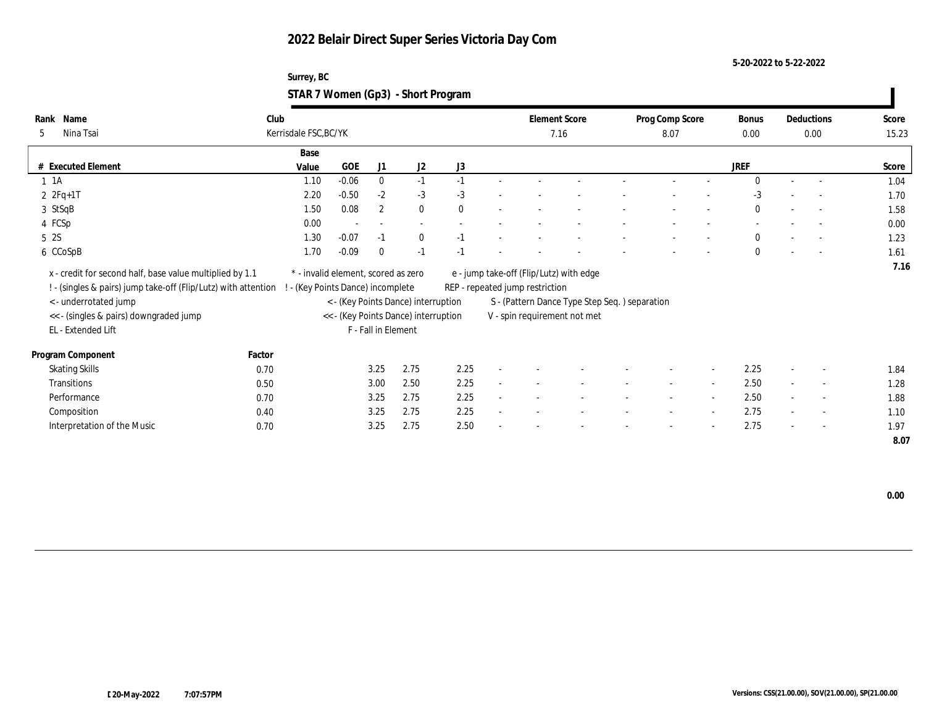**5-20-2022 to 5-22-2022**

| Surrey, BC                         |  |
|------------------------------------|--|
| STAR 7 Women (Gp3) - Short Program |  |

| Name<br>Rank<br>Nina Tsai<br>5                                 | Club   | Kerrisdale FSC, BC/YK               |            |                          |                                      |          |                                 | <b>Element Score</b><br>7.16                  | Prog Comp Score<br>8.07  |        | Bonus<br>0.00 |                          | Deductions<br>0.00       | Score<br>15.23 |
|----------------------------------------------------------------|--------|-------------------------------------|------------|--------------------------|--------------------------------------|----------|---------------------------------|-----------------------------------------------|--------------------------|--------|---------------|--------------------------|--------------------------|----------------|
|                                                                |        | Base                                |            |                          |                                      |          |                                 |                                               |                          |        |               |                          |                          |                |
| # Executed Element                                             |        | Value                               | <b>GOE</b> | J1                       | J2                                   | J3       |                                 |                                               |                          |        | <b>JREF</b>   |                          |                          | Score          |
| $1 \t1A$                                                       |        | 1.10                                | $-0.06$    | $\bf{0}$                 | $-1$                                 | $-1$     |                                 |                                               |                          |        | $\Omega$      |                          | $\overline{a}$           | 1.04           |
| $2 \t2Fq+1T$                                                   |        | 2.20                                | $-0.50$    | $-2$                     | $-3$                                 | $-3$     |                                 |                                               |                          |        | $-3$          |                          | $\sim$                   | 1.70           |
| 3 StSqB                                                        |        | 1.50                                | 0.08       | $\mathbf{2}$             | $\bf{0}$                             | $\theta$ |                                 |                                               |                          |        | $\bf{0}$      |                          | $\sim$                   | 1.58           |
| 4 FCSp                                                         |        | 0.00                                |            | $\overline{\phantom{a}}$ | $\overline{\phantom{a}}$             |          |                                 |                                               |                          |        |               |                          | $\overline{\phantom{a}}$ | 0.00           |
| 5 2S                                                           |        | 1.30                                | $-0.07$    | $-1$                     | $\mathbf{0}$                         | $-1$     |                                 |                                               |                          |        | $\mathbf{0}$  |                          |                          | 1.23           |
| 6 CCoSpB                                                       |        | 1.70                                | $-0.09$    | $\mathbf{0}$             | $-1$                                 | $-1$     |                                 |                                               |                          |        | $\Omega$      |                          | $\overline{\phantom{a}}$ | 1.61           |
| x - credit for second half, base value multiplied by 1.1       |        | * - invalid element, scored as zero |            |                          |                                      |          |                                 | e - jump take-off (Flip/Lutz) with edge       |                          |        |               |                          |                          | 7.16           |
| ! - (singles & pairs) jump take-off (Flip/Lutz) with attention |        | (Key Points Dance) incomplete       |            |                          |                                      |          | REP - repeated jump restriction |                                               |                          |        |               |                          |                          |                |
| < - underrotated jump                                          |        |                                     |            |                          | < - (Key Points Dance) interruption  |          |                                 | S - (Pattern Dance Type Step Seq.) separation |                          |        |               |                          |                          |                |
| << - (singles & pairs) downgraded jump                         |        |                                     |            |                          | << - (Key Points Dance) interruption |          |                                 | V - spin requirement not met                  |                          |        |               |                          |                          |                |
| EL - Extended Lift                                             |        |                                     |            | F - Fall in Element      |                                      |          |                                 |                                               |                          |        |               |                          |                          |                |
| Program Component                                              | Factor |                                     |            |                          |                                      |          |                                 |                                               |                          |        |               |                          |                          |                |
| <b>Skating Skills</b>                                          | 0.70   |                                     |            | 3.25                     | 2.75                                 | 2.25     |                                 |                                               |                          | $\sim$ | 2.25          | $\overline{\phantom{a}}$ | $\sim$                   | 1.84           |
| Transitions                                                    | 0.50   |                                     |            | 3.00                     | 2.50                                 | 2.25     |                                 |                                               | $\overline{\phantom{a}}$ | $\sim$ | 2.50          |                          | $\sim$                   | 1.28           |
| Performance                                                    | 0.70   |                                     |            | 3.25                     | 2.75                                 | 2.25     |                                 |                                               | $\overline{\phantom{a}}$ | $\sim$ | 2.50          | $\sim$                   | $\sim$                   | 1.88           |
| Composition                                                    | 0.40   |                                     |            | 3.25                     | 2.75                                 | 2.25     |                                 |                                               |                          | $\sim$ | 2.75          | $\sim$                   | $\overline{\phantom{a}}$ | 1.10           |
| Interpretation of the Music                                    | 0.70   |                                     |            | 3.25                     | 2.75                                 | 2.50     |                                 |                                               |                          | $\sim$ | 2.75          | $\sim$                   | $\sim$                   | 1.97           |
|                                                                |        |                                     |            |                          |                                      |          |                                 |                                               |                          |        |               |                          |                          | 8.07           |

 **0.00**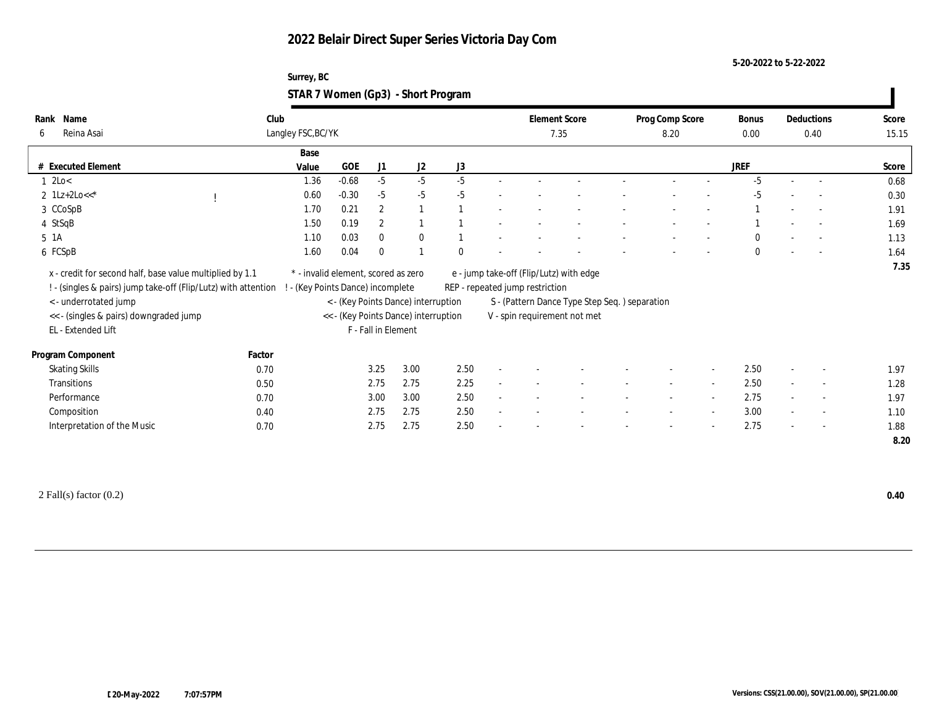#### **5-20-2022 to 5-22-2022**

#### **Surrey, BC STAR 7 Women (Gp3) - Short Program**

| Name<br>Rank<br>Reina Asai<br>6                                                       | Club   | Langley FSC, BC/YK              |            |                     |                                                                             |          |        | <b>Element Score</b><br>7.35    |                                                                               | Prog Comp Score<br>8.20 |                          | Bonus<br>$0.00\,$ |        | Deductions<br>0.40       | Score<br>15.15 |
|---------------------------------------------------------------------------------------|--------|---------------------------------|------------|---------------------|-----------------------------------------------------------------------------|----------|--------|---------------------------------|-------------------------------------------------------------------------------|-------------------------|--------------------------|-------------------|--------|--------------------------|----------------|
|                                                                                       |        | Base                            |            |                     |                                                                             |          |        |                                 |                                                                               |                         |                          |                   |        |                          |                |
| # Executed Element                                                                    |        | Value                           | <b>GOE</b> | J1                  | J2                                                                          | J3       |        |                                 |                                                                               |                         |                          | <b>JREF</b>       |        |                          | Score          |
| $1 \text{ } 2\text{Lo}$                                                               |        | 1.36                            | $-0.68$    | $-5$                | $-5$                                                                        | $-5$     |        |                                 |                                                                               |                         |                          | $-5$              |        |                          | 0.68           |
| 2 $1Lz+2Lo<<^*$                                                                       |        | 0.60                            | $-0.30$    | $-5$                | $-5$                                                                        | $-5$     |        |                                 |                                                                               |                         |                          | $-5$              |        | $\sim$                   | 0.30           |
| 3 CCoSpB                                                                              |        | 1.70                            | 0.21       | $\boldsymbol{2}$    |                                                                             |          |        |                                 |                                                                               |                         |                          |                   |        | $\overline{\phantom{a}}$ | 1.91           |
| 4 StSqB                                                                               |        | 1.50                            | 0.19       | $\boldsymbol{2}$    |                                                                             |          |        |                                 |                                                                               |                         |                          |                   |        | $\overline{\phantom{a}}$ | 1.69           |
| 5 1A                                                                                  |        | 1.10                            | 0.03       | $\mathbf{0}$        | $\bf{0}$                                                                    |          |        |                                 |                                                                               |                         |                          | $\mathbf{0}$      |        | $\sim$                   | 1.13           |
| 6 FCSpB                                                                               |        | 1.60                            | 0.04       | $\mathbf{0}$        |                                                                             | $\Omega$ |        |                                 |                                                                               |                         |                          | $\mathbf{0}$      |        | $\overline{\phantom{a}}$ | 1.64           |
| ! - (singles & pairs) jump take-off (Flip/Lutz) with attention !                      |        | - (Key Points Dance) incomplete |            |                     |                                                                             |          |        | REP - repeated jump restriction |                                                                               |                         |                          |                   |        |                          |                |
| < - underrotated jump<br><< - (singles & pairs) downgraded jump<br>EL - Extended Lift |        |                                 |            | F - Fall in Element | < - (Key Points Dance) interruption<br><< - (Key Points Dance) interruption |          |        |                                 | S - (Pattern Dance Type Step Seq.) separation<br>V - spin requirement not met |                         |                          |                   |        |                          |                |
| Program Component                                                                     | Factor |                                 |            |                     |                                                                             |          |        |                                 |                                                                               |                         |                          |                   |        |                          |                |
| <b>Skating Skills</b>                                                                 | 0.70   |                                 |            | 3.25                | 3.00                                                                        | 2.50     |        |                                 |                                                                               |                         | $\overline{\phantom{a}}$ | 2.50              |        | $\overline{\phantom{a}}$ | 1.97           |
| Transitions                                                                           | 0.50   |                                 |            | 2.75                | 2.75                                                                        | 2.25     | $\sim$ |                                 |                                                                               |                         | $\sim$                   | 2.50              |        | $\sim$                   | 1.28           |
| Performance                                                                           | 0.70   |                                 |            | 3.00                | 3.00                                                                        | 2.50     | $\sim$ |                                 |                                                                               | $\sim$                  | $\sim$                   | 2.75              | $\sim$ | $\sim$                   | 1.97           |
| Composition                                                                           | 0.40   |                                 |            | 2.75                | 2.75                                                                        | 2.50     |        |                                 |                                                                               |                         | $\sim$                   | 3.00              |        | $\overline{\phantom{a}}$ | 1.10           |

2 Fall(s) factor (0.2) **0.40**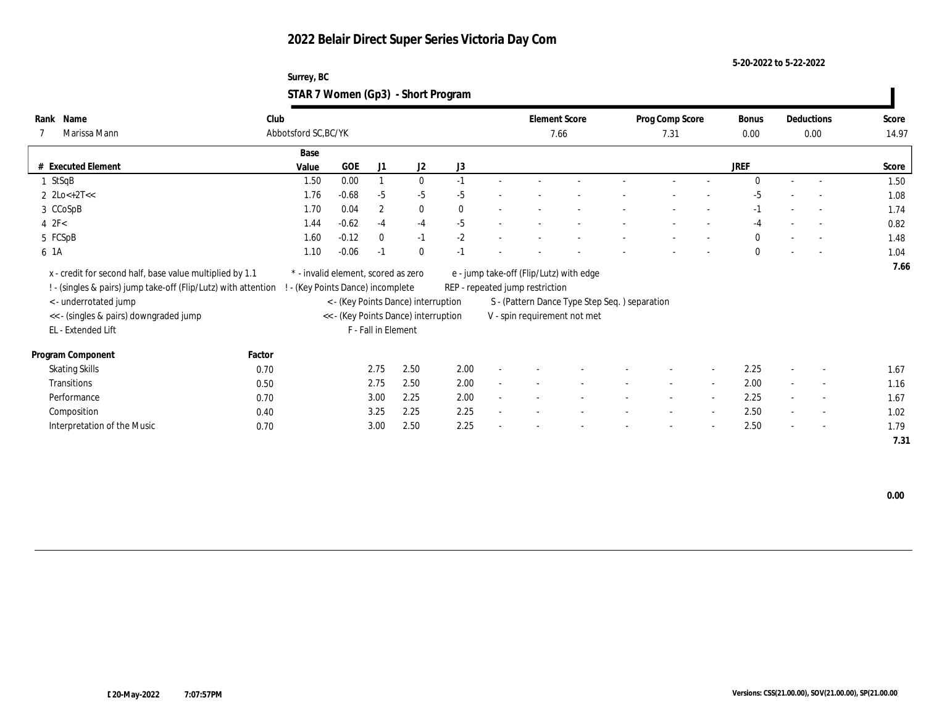**5-20-2022 to 5-22-2022**

| Surrey, BC                         |  |
|------------------------------------|--|
| STAR 7 Women (Gp3) - Short Program |  |

| Name<br>Rank<br>Marissa Mann<br>7                                                                                                                   | Club   | Abbotsford SC, BC/YK                                                   |         |                     |                                      |          |        | <b>Element Score</b><br>7.66    |                                                                                           | Prog Comp Score<br>7.31  |        | Bonus<br>0.00 |        | Deductions<br>0.00       | Score<br>14.97 |
|-----------------------------------------------------------------------------------------------------------------------------------------------------|--------|------------------------------------------------------------------------|---------|---------------------|--------------------------------------|----------|--------|---------------------------------|-------------------------------------------------------------------------------------------|--------------------------|--------|---------------|--------|--------------------------|----------------|
|                                                                                                                                                     |        | Base                                                                   |         |                     |                                      |          |        |                                 |                                                                                           |                          |        |               |        |                          |                |
| # Executed Element                                                                                                                                  |        | Value                                                                  | GOE     | J1                  | J2                                   | J3       |        |                                 |                                                                                           |                          |        | <b>JREF</b>   |        |                          | Score          |
| $1$ StSqB                                                                                                                                           |        | 1.50                                                                   | 0.00    |                     | $\bf{0}$                             | $-1$     |        |                                 |                                                                                           |                          |        | $\Omega$      |        |                          | 1.50           |
| 2 $2\text{Lo} + 2\text{T} <<$                                                                                                                       |        | 1.76                                                                   | $-0.68$ | $-5$                | $-5$                                 | $-5$     |        |                                 |                                                                                           |                          |        | $-5$          |        |                          | 1.08           |
| 3 CCoSpB                                                                                                                                            |        | 1.70                                                                   | 0.04    | $\boldsymbol{2}$    | $\bf{0}$                             | $\theta$ |        |                                 |                                                                                           |                          |        | $-1$          |        | $\overline{\phantom{a}}$ | 1.74           |
| $4$ $2F<$                                                                                                                                           |        | 1.44                                                                   | $-0.62$ | $-4$                | $-4$                                 | $-5$     |        |                                 |                                                                                           |                          |        | $-4$          |        |                          | 0.82           |
| 5 FCSpB                                                                                                                                             |        | 1.60                                                                   | $-0.12$ | $\mathbf{0}$        | $-1$                                 | $-2$     |        |                                 |                                                                                           |                          |        | $\mathbf{0}$  |        |                          | 1.48           |
| 6 1A                                                                                                                                                |        | 1.10                                                                   | $-0.06$ | $-1$                | $\mathbf{0}$                         | $-1$     |        |                                 |                                                                                           |                          |        | $\theta$      |        | $\overline{\phantom{a}}$ | 1.04           |
| x - credit for second half, base value multiplied by 1.1<br>! - (singles & pairs) jump take-off (Flip/Lutz) with attention<br>< - underrotated jump |        | * - invalid element, scored as zero<br>- (Key Points Dance) incomplete |         |                     | < - (Key Points Dance) interruption  |          |        | REP - repeated jump restriction | e - jump take-off (Flip/Lutz) with edge<br>S - (Pattern Dance Type Step Seq. ) separation |                          |        |               |        |                          | 7.66           |
| << - (singles & pairs) downgraded jump                                                                                                              |        |                                                                        |         |                     | << - (Key Points Dance) interruption |          |        |                                 | V - spin requirement not met                                                              |                          |        |               |        |                          |                |
| EL - Extended Lift                                                                                                                                  |        |                                                                        |         | F - Fall in Element |                                      |          |        |                                 |                                                                                           |                          |        |               |        |                          |                |
| Program Component                                                                                                                                   | Factor |                                                                        |         |                     |                                      |          |        |                                 |                                                                                           |                          |        |               |        |                          |                |
| <b>Skating Skills</b>                                                                                                                               | 0.70   |                                                                        |         | 2.75                | 2.50                                 | 2.00     |        |                                 |                                                                                           |                          | $\sim$ | 2.25          | $\sim$ | $\overline{\phantom{a}}$ | 1.67           |
| Transitions                                                                                                                                         | 0.50   |                                                                        |         | 2.75                | 2.50                                 | 2.00     |        |                                 |                                                                                           |                          | $\sim$ | 2.00          | $\sim$ | $\sim$                   | 1.16           |
| Performance                                                                                                                                         | 0.70   |                                                                        |         | 3.00                | 2.25                                 | 2.00     | $\sim$ |                                 |                                                                                           | $\overline{\phantom{a}}$ | $\sim$ | 2.25          | $\sim$ | $\sim$                   | 1.67           |
| Composition                                                                                                                                         | 0.40   |                                                                        |         | 3.25                | 2.25                                 | 2.25     |        |                                 |                                                                                           |                          | $\sim$ | 2.50          | $\sim$ | $\sim$                   | 1.02           |
| Interpretation of the Music                                                                                                                         | 0.70   |                                                                        |         | 3.00                | 2.50                                 | 2.25     |        |                                 |                                                                                           |                          | $\sim$ | 2.50          | $\sim$ | $\sim$                   | 1.79           |
|                                                                                                                                                     |        |                                                                        |         |                     |                                      |          |        |                                 |                                                                                           |                          |        |               |        |                          | 7.31           |

 **0.00**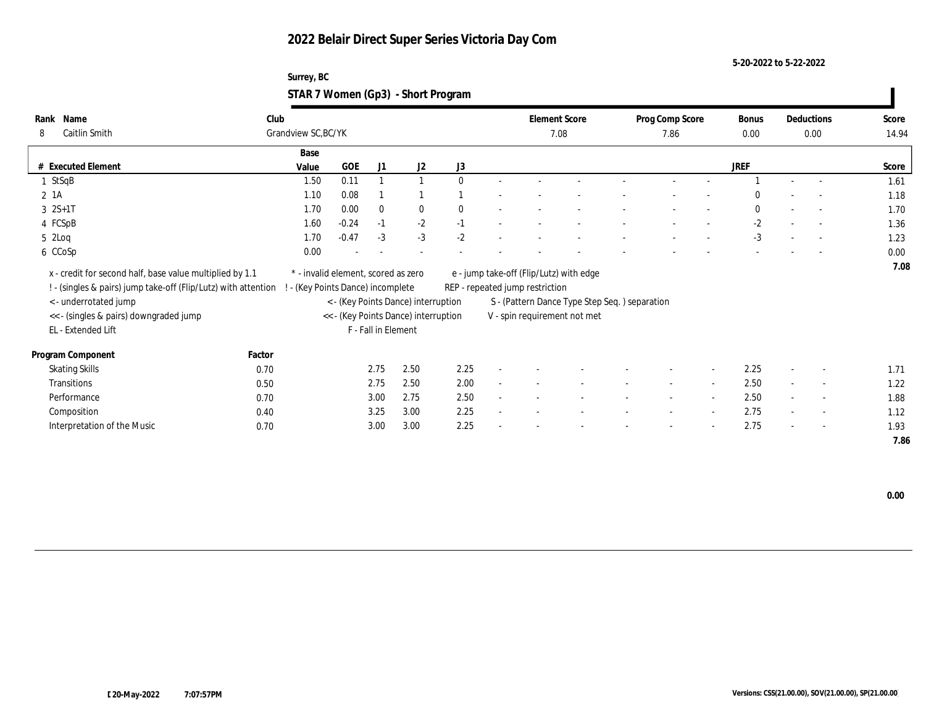**5-20-2022 to 5-22-2022**

| Surrey, BC                         |  |
|------------------------------------|--|
| STAR 7 Women (Gp3) - Short Program |  |

| Name<br>Rank<br>Caitlin Smith<br>8                             | Club<br>Grandview SC, BC/YK |                                     |                     |                                      |              | <b>Element Score</b><br>7.08    |                                               | Prog Comp Score<br>7.86 |        | Bonus<br>0.00 |                          | Deductions<br>0.00       | Score<br>14.94 |
|----------------------------------------------------------------|-----------------------------|-------------------------------------|---------------------|--------------------------------------|--------------|---------------------------------|-----------------------------------------------|-------------------------|--------|---------------|--------------------------|--------------------------|----------------|
|                                                                | Base                        |                                     |                     |                                      |              |                                 |                                               |                         |        |               |                          |                          |                |
| # Executed Element                                             | Value                       | GOE                                 | J1                  | J2                                   | J3           |                                 |                                               |                         |        | <b>JREF</b>   |                          |                          | Score          |
| 1 StSqB                                                        | 1.50                        | 0.11                                |                     | $\mathbf{1}$                         | $\mathbf{0}$ |                                 |                                               |                         |        |               |                          |                          | 1.61           |
| 2 1A                                                           | 1.10                        | 0.08                                |                     |                                      |              |                                 |                                               |                         |        | $\Omega$      |                          | $\sim$                   | 1.18           |
| $3 \t 2S+1T$                                                   | 1.70                        | 0.00                                | $\bf{0}$            | $\bf{0}$                             | $\mathbf{0}$ |                                 |                                               |                         |        | $\theta$      |                          | $\sim$                   | 1.70           |
| 4 FCSpB                                                        | 1.60                        | $-0.24$                             | $-1$                | $-2$                                 | $-1$         |                                 |                                               |                         |        | $-2$          |                          | $\overline{\phantom{a}}$ | 1.36           |
| $5 \t2Log$                                                     | 1.70                        | $-0.47$                             | $-3$                | $-3$                                 | $-2$         |                                 |                                               |                         |        | $-3$          |                          |                          | 1.23           |
| 6 CCoSp                                                        | 0.00                        |                                     |                     |                                      |              |                                 |                                               |                         |        |               |                          | $\overline{\phantom{a}}$ | 0.00           |
| x - credit for second half, base value multiplied by 1.1       |                             | * - invalid element, scored as zero |                     |                                      |              |                                 | e - jump take-off (Flip/Lutz) with edge       |                         |        |               |                          |                          | 7.08           |
| ! - (singles & pairs) jump take-off (Flip/Lutz) with attention |                             | (Key Points Dance) incomplete       |                     |                                      |              | REP - repeated jump restriction |                                               |                         |        |               |                          |                          |                |
| < - underrotated jump                                          |                             |                                     |                     | < - (Key Points Dance) interruption  |              |                                 | S - (Pattern Dance Type Step Seq.) separation |                         |        |               |                          |                          |                |
| << - (singles & pairs) downgraded jump                         |                             |                                     |                     | << - (Key Points Dance) interruption |              |                                 | V - spin requirement not met                  |                         |        |               |                          |                          |                |
| EL - Extended Lift                                             |                             |                                     | F - Fall in Element |                                      |              |                                 |                                               |                         |        |               |                          |                          |                |
| Program Component                                              | Factor                      |                                     |                     |                                      |              |                                 |                                               |                         |        |               |                          |                          |                |
| <b>Skating Skills</b>                                          | 0.70                        |                                     | 2.75                | 2.50                                 | 2.25         |                                 |                                               |                         | $\sim$ | 2.25          | $\overline{\phantom{a}}$ | $\sim$                   | 1.71           |
| Transitions                                                    | 0.50                        |                                     | 2.75                | 2.50                                 | 2.00         |                                 |                                               | $\sim$                  | $\sim$ | 2.50          |                          | $\sim$                   | 1.22           |
| Performance                                                    | 0.70                        |                                     | 3.00                | 2.75                                 | 2.50         |                                 |                                               | $\sim$                  | $\sim$ | 2.50          | $\sim$                   | $\sim$                   | 1.88           |
| Composition                                                    | 0.40                        |                                     | 3.25                | 3.00                                 | 2.25         |                                 |                                               |                         | $\sim$ | 2.75          | $\sim$                   | $\overline{\phantom{a}}$ | 1.12           |
| Interpretation of the Music                                    | 0.70                        |                                     | 3.00                | 3.00                                 | 2.25         |                                 |                                               |                         | $\sim$ | 2.75          | $\sim$                   | $\sim$                   | 1.93           |
|                                                                |                             |                                     |                     |                                      |              |                                 |                                               |                         |        |               |                          |                          | 7.86           |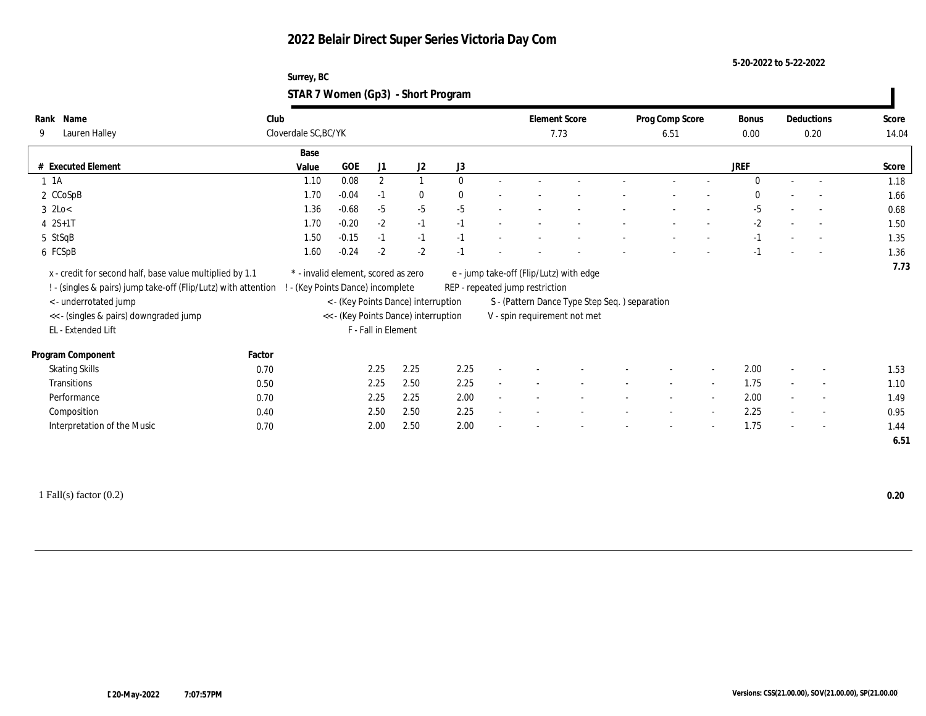**5-20-2022 to 5-22-2022**

| Surrey, BC                         |  |
|------------------------------------|--|
| STAR 7 Women (Gp3) - Short Program |  |

| Name<br>Rank<br>Lauren Halley<br>9                                                                                                                                                                                                                    | Club   | Cloverdale SC, BC/YK                |                     |              |                                                                             |              |        | <b>Element Score</b><br>7.73    |                                                                                                                          | Prog Comp Score<br>6.51 |                          | Bonus<br>0.00 |                          | Deductions<br>0.20       | Score<br>14.04 |
|-------------------------------------------------------------------------------------------------------------------------------------------------------------------------------------------------------------------------------------------------------|--------|-------------------------------------|---------------------|--------------|-----------------------------------------------------------------------------|--------------|--------|---------------------------------|--------------------------------------------------------------------------------------------------------------------------|-------------------------|--------------------------|---------------|--------------------------|--------------------------|----------------|
|                                                                                                                                                                                                                                                       |        | Base                                |                     |              |                                                                             |              |        |                                 |                                                                                                                          |                         |                          |               |                          |                          |                |
| # Executed Element                                                                                                                                                                                                                                    |        | Value                               | GOE                 | J1           | J2                                                                          | J3           |        |                                 |                                                                                                                          |                         |                          | JREF          |                          |                          | Score          |
| $1 \t1A$                                                                                                                                                                                                                                              |        | 1.10                                | 0.08                | $\mathbf{2}$ | $\mathbf{1}$                                                                | $\Omega$     |        |                                 |                                                                                                                          | $\sim$                  |                          | $\Omega$      | $\sim$                   | $\overline{a}$           | 1.18           |
| 2 CCoSpB                                                                                                                                                                                                                                              |        | 1.70                                | $-0.04$             | $-1$         | $\bf{0}$                                                                    | $\mathbf{0}$ |        |                                 |                                                                                                                          |                         |                          | $\bf{0}$      |                          |                          | 1.66           |
| $3 \text{ } 2\text{Lo}$                                                                                                                                                                                                                               |        | 1.36                                | $-0.68$             | $-5$         | $-5$                                                                        | $-5$         |        |                                 |                                                                                                                          |                         |                          | $-5$          |                          | $\overline{a}$           | 0.68           |
| $4 \t 2S+1T$                                                                                                                                                                                                                                          |        | 1.70                                | $-0.20$             | $-2$         | $-1$                                                                        | $-1$         |        |                                 |                                                                                                                          |                         |                          | $-2$          |                          | $\sim$                   | 1.50           |
| 5 StSqB                                                                                                                                                                                                                                               |        | 1.50                                | $-0.15$             | $-1$         | $-1$                                                                        | $-1$         |        |                                 |                                                                                                                          |                         |                          | $-1$          |                          | $\overline{\phantom{a}}$ | 1.35           |
| 6 FCSpB                                                                                                                                                                                                                                               |        | 1.60                                | $-0.24$             | $-2$         | $-2$                                                                        | $-1$         |        |                                 |                                                                                                                          |                         |                          | $-1$          |                          | $\sim$                   | 1.36           |
| x - credit for second half, base value multiplied by 1.1<br>! - (singles & pairs) jump take-off (Flip/Lutz) with attention ! - (Key Points Dance) incomplete<br>< - underrotated jump<br><< - (singles & pairs) downgraded jump<br>EL - Extended Lift |        | * - invalid element, scored as zero | F - Fall in Element |              | < - (Key Points Dance) interruption<br><< - (Key Points Dance) interruption |              |        | REP - repeated jump restriction | e - jump take-off (Flip/Lutz) with edge<br>S - (Pattern Dance Type Step Seq.) separation<br>V - spin requirement not met |                         |                          |               |                          |                          |                |
| Program Component                                                                                                                                                                                                                                     | Factor |                                     |                     |              |                                                                             |              |        |                                 |                                                                                                                          |                         |                          |               |                          |                          |                |
| <b>Skating Skills</b>                                                                                                                                                                                                                                 | 0.70   |                                     | 2.25                |              | 2.25                                                                        | 2.25         |        |                                 |                                                                                                                          |                         | $\sim$                   | 2.00          |                          | $\overline{\phantom{a}}$ | 1.53           |
| Transitions                                                                                                                                                                                                                                           | 0.50   |                                     | 2.25                |              | 2.50                                                                        | 2.25         |        |                                 |                                                                                                                          |                         | $\sim$                   | 1.75          |                          | $\overline{\phantom{a}}$ | 1.10           |
| Performance                                                                                                                                                                                                                                           | 0.70   |                                     | 2.25                |              | 2.25                                                                        | 2.00         | $\sim$ |                                 |                                                                                                                          | $\sim$                  | $\sim$                   | 2.00          | $\sim$                   | $\overline{\phantom{a}}$ | 1.49           |
| Composition                                                                                                                                                                                                                                           | 0.40   |                                     |                     | 2.50         | 2.50                                                                        | 2.25         |        |                                 |                                                                                                                          |                         | $\sim$                   | 2.25          |                          | $\overline{\phantom{a}}$ | 0.95           |
| Interpretation of the Music                                                                                                                                                                                                                           | 0.70   |                                     |                     | 2.00         | 2.50                                                                        | 2.00         |        |                                 |                                                                                                                          |                         | $\overline{\phantom{a}}$ | 1.75          | $\overline{\phantom{a}}$ | $\overline{\phantom{a}}$ | 1.44<br>6.51   |

1 Fall(s) factor (0.2) **0.20**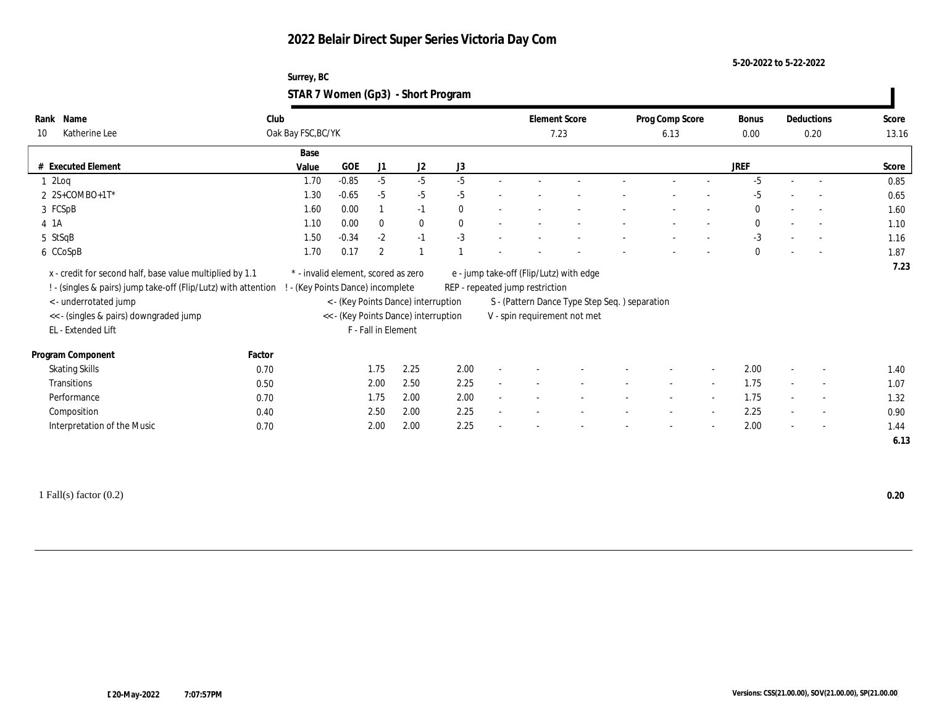**5-20-2022 to 5-22-2022**

| Surrey, BC                         |  |
|------------------------------------|--|
| STAR 7 Women (Gp3) - Short Program |  |

| Name<br>Rank<br>Katherine Lee<br>10                                                                                                                                                                                 | Club<br>Oak Bay FSC, BC/YK        |                                     |                     |                                                                             |              | <b>Element Score</b><br>7.23    |                                                                                                                          | Prog Comp Score<br>6.13  |                          | Bonus<br>0.00 |        | Deductions<br>0.20       | Score<br>13.16 |
|---------------------------------------------------------------------------------------------------------------------------------------------------------------------------------------------------------------------|-----------------------------------|-------------------------------------|---------------------|-----------------------------------------------------------------------------|--------------|---------------------------------|--------------------------------------------------------------------------------------------------------------------------|--------------------------|--------------------------|---------------|--------|--------------------------|----------------|
|                                                                                                                                                                                                                     | Base                              |                                     |                     |                                                                             |              |                                 |                                                                                                                          |                          |                          |               |        |                          |                |
| # Executed Element                                                                                                                                                                                                  | Value                             | GOE                                 | J1                  | J2                                                                          | J3           |                                 |                                                                                                                          |                          |                          | <b>JREF</b>   |        |                          | Score          |
| 12Log                                                                                                                                                                                                               | 1.70                              | $-0.85$                             | $-5$                | $-5$                                                                        | $-5$         |                                 |                                                                                                                          |                          |                          | $-5$          |        |                          | 0.85           |
| $2$ 2S+COMBO+1T*                                                                                                                                                                                                    | 1.30                              | $-0.65$                             | $-5$                | $-5$                                                                        | $-5$         |                                 |                                                                                                                          |                          |                          | $-5$          |        |                          | 0.65           |
| 3 FCSpB                                                                                                                                                                                                             | 1.60                              | 0.00                                |                     | $-1$                                                                        | $\mathbf{0}$ |                                 |                                                                                                                          |                          |                          | $\mathbf{0}$  |        | $\sim$                   | 1.60           |
| 4 1A                                                                                                                                                                                                                | 1.10                              | 0.00                                | $\mathbf{0}$        | $\bf{0}$                                                                    | $\mathbf{0}$ |                                 |                                                                                                                          |                          |                          | $\mathbf{0}$  |        | $\sim$                   | 1.10           |
| 5 StSqB                                                                                                                                                                                                             | 1.50                              | $-0.34$                             | $-2$                | $-1$                                                                        | $-3$         |                                 |                                                                                                                          |                          |                          | $-3$          |        | $\sim$                   | 1.16           |
| 6 CCoSpB                                                                                                                                                                                                            | 1.70                              | 0.17                                | $\boldsymbol{2}$    |                                                                             |              |                                 |                                                                                                                          |                          |                          | $\mathbf{0}$  |        |                          | 1.87           |
| x - credit for second half, base value multiplied by 1.1<br>! - (singles & pairs) jump take-off (Flip/Lutz) with attention<br>< - underrotated jump<br><< - (singles & pairs) downgraded jump<br>EL - Extended Lift | ! - (Key Points Dance) incomplete | * - invalid element, scored as zero | F - Fall in Element | < - (Key Points Dance) interruption<br><< - (Key Points Dance) interruption |              | REP - repeated jump restriction | e - jump take-off (Flip/Lutz) with edge<br>S - (Pattern Dance Type Step Seq.) separation<br>V - spin requirement not met |                          |                          |               |        |                          | 7.23           |
| Program Component                                                                                                                                                                                                   | Factor                            |                                     |                     |                                                                             |              |                                 |                                                                                                                          |                          |                          |               |        |                          |                |
| <b>Skating Skills</b>                                                                                                                                                                                               | 0.70                              |                                     | 1.75                | 2.25                                                                        | 2.00         |                                 |                                                                                                                          |                          | $\sim$                   | 2.00          |        | $\overline{\phantom{a}}$ | 1.40           |
| <b>Transitions</b>                                                                                                                                                                                                  | 0.50                              |                                     | 2.00                | 2.50                                                                        | 2.25         |                                 |                                                                                                                          | $\sim$                   | $\sim$                   | 1.75          | $\sim$ | $\overline{\phantom{a}}$ | 1.07           |
| Performance                                                                                                                                                                                                         | 0.70                              |                                     | 1.75                | 2.00                                                                        | 2.00         |                                 |                                                                                                                          | $\overline{\phantom{a}}$ | $\sim$                   | 1.75          | $\sim$ | $\sim$                   | 1.32           |
| Composition                                                                                                                                                                                                         | 0.40                              |                                     | 2.50                | 2.00                                                                        | 2.25         |                                 |                                                                                                                          |                          | $\sim$                   | 2.25          | $\sim$ | $\sim$                   | 0.90           |
| Interpretation of the Music                                                                                                                                                                                         | 0.70                              |                                     | 2.00                | 2.00                                                                        | 2.25         |                                 |                                                                                                                          | $\overline{\phantom{a}}$ | $\overline{\phantom{a}}$ | 2.00          | $\sim$ | $\overline{\phantom{a}}$ | 1.44<br>6.13   |

1 Fall(s) factor (0.2) **0.20**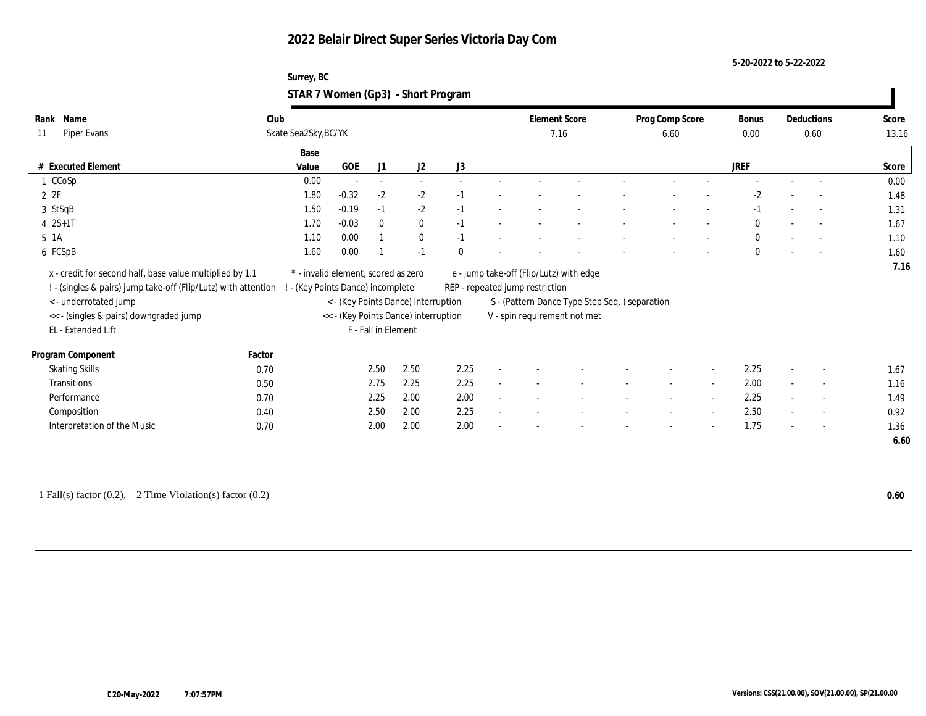#### **5-20-2022 to 5-22-2022**

#### **Surrey, BC STAR 7 Women (Gp3) - Short Program**

| Name<br>Rank                                                   | Club   |                                     |          |                     |                                      |          |        | <b>Element Score</b>            |                                               | Prog Comp Score          |        | Bonus        |                          | Deductions               | Score |
|----------------------------------------------------------------|--------|-------------------------------------|----------|---------------------|--------------------------------------|----------|--------|---------------------------------|-----------------------------------------------|--------------------------|--------|--------------|--------------------------|--------------------------|-------|
| Piper Evans<br>11                                              |        | Skate Sea2Sky, BC/YK                |          |                     |                                      |          |        | 7.16                            |                                               | 6.60                     |        | $0.00\,$     |                          | 0.60                     | 13.16 |
|                                                                |        | Base                                |          |                     |                                      |          |        |                                 |                                               |                          |        |              |                          |                          |       |
| # Executed Element                                             |        | Value                               | GOE      | J1                  | J2                                   | J3       |        |                                 |                                               |                          |        | JREF         |                          |                          | Score |
| 1 CCoSp                                                        |        | 0.00                                | $\sim$   | $\sim$              |                                      |          |        |                                 |                                               |                          |        |              |                          |                          | 0.00  |
| 2ZF                                                            |        | 1.80                                | $-0.32$  | $-2$                | $-2$                                 | $-1$     |        |                                 |                                               |                          |        | $-2$         |                          | $\overline{\phantom{a}}$ | 1.48  |
| 3 StSqB                                                        |        | 1.50                                | $-0.19$  | $-1$                | $-2$                                 | $-1$     |        |                                 |                                               |                          |        | $-1$         |                          | $\sim$                   | 1.31  |
| $4 \t 2S+1T$                                                   |        | 1.70                                | $-0.03$  | $\mathbf{0}$        | $\mathbf{0}$                         | $-1$     |        |                                 |                                               |                          |        | $\mathbf{0}$ |                          | $\sim$                   | 1.67  |
| $5 \text{1A}$                                                  |        | 1.10                                | 0.00     | $\mathbf{1}$        | $\bf{0}$                             | $-1$     |        |                                 |                                               |                          |        | $\mathbf{0}$ |                          | $\sim$                   | 1.10  |
| 6 FCSpB                                                        |        | 1.60                                | $0.00\,$ |                     | $-1$                                 | $\theta$ |        |                                 |                                               |                          |        | $\mathbf{0}$ |                          | $\sim$                   | 1.60  |
| x - credit for second half, base value multiplied by 1.1       |        | * - invalid element, scored as zero |          |                     |                                      |          |        |                                 | e - jump take-off (Flip/Lutz) with edge       |                          |        |              |                          |                          | 7.16  |
| ! - (singles & pairs) jump take-off (Flip/Lutz) with attention |        | - (Key Points Dance) incomplete     |          |                     |                                      |          |        | REP - repeated jump restriction |                                               |                          |        |              |                          |                          |       |
| < - underrotated jump                                          |        |                                     |          |                     | < - (Key Points Dance) interruption  |          |        |                                 | S - (Pattern Dance Type Step Seq.) separation |                          |        |              |                          |                          |       |
| << - (singles & pairs) downgraded jump                         |        |                                     |          |                     | << - (Key Points Dance) interruption |          |        |                                 | V - spin requirement not met                  |                          |        |              |                          |                          |       |
| EL - Extended Lift                                             |        |                                     |          | F - Fall in Element |                                      |          |        |                                 |                                               |                          |        |              |                          |                          |       |
|                                                                |        |                                     |          |                     |                                      |          |        |                                 |                                               |                          |        |              |                          |                          |       |
| Program Component                                              | Factor |                                     |          |                     |                                      |          |        |                                 |                                               |                          |        |              |                          |                          |       |
| <b>Skating Skills</b>                                          | 0.70   |                                     |          | 2.50                | 2.50                                 | 2.25     |        |                                 |                                               |                          |        | 2.25         |                          | $\overline{\phantom{a}}$ | 1.67  |
| Transitions                                                    | 0.50   |                                     |          | 2.75                | 2.25                                 | 2.25     | $\sim$ |                                 |                                               | $\overline{\phantom{a}}$ | $\sim$ | 2.00         | $\sim$                   | $\sim$                   | 1.16  |
| Performance                                                    | 0.70   |                                     |          | 2.25                | 2.00                                 | 2.00     |        |                                 |                                               |                          |        | 2.25         |                          | $\overline{\phantom{a}}$ | 1.49  |
| Composition                                                    | 0.40   |                                     |          | 2.50                | 2.00                                 | 2.25     | $\sim$ |                                 |                                               | $\overline{\phantom{a}}$ | $\sim$ | 2.50         | $\overline{\phantom{a}}$ | $\sim$                   | 0.92  |
| Interpretation of the Music                                    | 0.70   |                                     |          | 2.00                | 2.00                                 | 2.00     |        |                                 |                                               |                          |        | 1.75         |                          | $\overline{\phantom{a}}$ | 1.36  |
|                                                                |        |                                     |          |                     |                                      |          |        |                                 |                                               |                          |        |              |                          |                          | 6.60  |

1 Fall(s) factor (0.2), 2 Time Violation(s) factor (0.2) **0.60**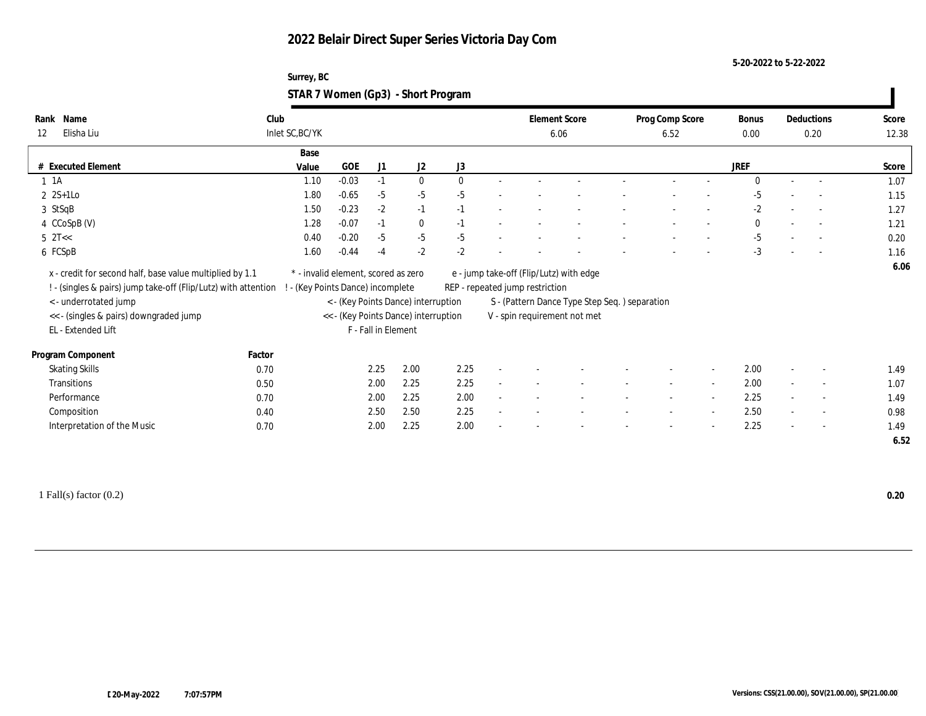**5-20-2022 to 5-22-2022**

| Surrey, BC                         |  |
|------------------------------------|--|
| STAR 7 Women (Gp3) - Short Program |  |

| Name<br>Rank<br>Elisha Liu<br>12                                                                                                                                                                                   | Club<br>Inlet SC, BC/YK |       |                                                                        |                     |                                                                             |              |                                 | <b>Element Score</b><br>6.06                                                                                             | Prog Comp Score<br>6.52 |                          | <b>Bonus</b><br>$0.00\,$ | Deductions<br>0.20       | Score<br>12.38 |
|--------------------------------------------------------------------------------------------------------------------------------------------------------------------------------------------------------------------|-------------------------|-------|------------------------------------------------------------------------|---------------------|-----------------------------------------------------------------------------|--------------|---------------------------------|--------------------------------------------------------------------------------------------------------------------------|-------------------------|--------------------------|--------------------------|--------------------------|----------------|
|                                                                                                                                                                                                                    |                         |       |                                                                        |                     |                                                                             |              |                                 |                                                                                                                          |                         |                          |                          |                          |                |
|                                                                                                                                                                                                                    |                         | Base  |                                                                        |                     |                                                                             |              |                                 |                                                                                                                          |                         |                          |                          |                          |                |
| # Executed Element                                                                                                                                                                                                 |                         | Value | GOE                                                                    | J1                  | J2                                                                          | J3           |                                 |                                                                                                                          |                         |                          | <b>JREF</b>              |                          | Score          |
| $1 \t1A$                                                                                                                                                                                                           |                         | 1.10  | $-0.03$                                                                | $-1$                | $\bf{0}$                                                                    | $\mathbf{0}$ |                                 |                                                                                                                          |                         |                          | $\Omega$                 |                          | 1.07           |
| $2 \text{ } 2S+1LO$                                                                                                                                                                                                |                         | 1.80  | $-0.65$                                                                | $-5$                | $-5$                                                                        | $-5$         |                                 |                                                                                                                          |                         |                          | -5                       |                          | 1.15           |
| 3 StSqB                                                                                                                                                                                                            |                         | 1.50  | $-0.23$                                                                | $-2$                | $-1$                                                                        | $-1$         |                                 |                                                                                                                          |                         |                          | $-2$                     | $\overline{a}$           | 1.27           |
| 4 CCoSpB (V)                                                                                                                                                                                                       |                         | 1.28  | $-0.07$                                                                | $-1$                | $\bf{0}$                                                                    | $-1$         |                                 |                                                                                                                          |                         |                          | $\bf{0}$                 | $\sim$                   | 1.21           |
| $5 \text{ } 2T <$                                                                                                                                                                                                  |                         | 0.40  | $-0.20$                                                                | $-5$                | $-5$                                                                        | $-5$         |                                 |                                                                                                                          |                         |                          | $-5$                     | $\sim$                   | 0.20           |
| 6 FCSpB                                                                                                                                                                                                            |                         | 1.60  | $-0.44$                                                                | $-4$                | $-2$                                                                        | $-2$         |                                 |                                                                                                                          |                         |                          | $-3$                     |                          | 1.16           |
| x - credit for second half, base value multiplied by 1.1<br>! - (singles & pairs) jump take-off (Flip/Lutz) with attention<br><- underrotated jump<br><< - (singles & pairs) downgraded jump<br>EL - Extended Lift |                         |       | * - invalid element, scored as zero<br>- (Key Points Dance) incomplete | F - Fall in Element | < - (Key Points Dance) interruption<br><< - (Key Points Dance) interruption |              | REP - repeated jump restriction | e - jump take-off (Flip/Lutz) with edge<br>S - (Pattern Dance Type Step Seq.) separation<br>V - spin requirement not met |                         |                          |                          |                          | 6.06           |
| Program Component                                                                                                                                                                                                  | Factor                  |       |                                                                        |                     |                                                                             |              |                                 |                                                                                                                          |                         |                          |                          |                          |                |
| <b>Skating Skills</b>                                                                                                                                                                                              | 0.70                    |       |                                                                        | 2.25                | 2.00                                                                        | 2.25         |                                 |                                                                                                                          |                         | $\sim$                   | 2.00                     | $\overline{\phantom{a}}$ | 1.49           |
| Transitions                                                                                                                                                                                                        | 0.50                    |       |                                                                        | 2.00                | 2.25                                                                        | 2.25         |                                 |                                                                                                                          |                         | $\overline{\phantom{a}}$ | 2.00                     | $\sim$                   | 1.07           |
| Performance                                                                                                                                                                                                        | 0.70                    |       |                                                                        | 2.00                | 2.25                                                                        | 2.00         |                                 |                                                                                                                          |                         | $\overline{a}$           | 2.25                     | $\overline{\phantom{a}}$ | 1.49           |
| Composition                                                                                                                                                                                                        | 0.40                    |       |                                                                        | 2.50                | 2.50                                                                        | 2.25         |                                 |                                                                                                                          |                         | $\overline{\phantom{a}}$ | 2.50                     | $\sim$                   | 0.98           |
| Interpretation of the Music                                                                                                                                                                                        | 0.70                    |       |                                                                        | 2.00                | 2.25                                                                        | 2.00         |                                 |                                                                                                                          |                         |                          | 2.25                     | $\overline{\phantom{a}}$ | 1.49<br>6.52   |

1 Fall(s) factor (0.2) **0.20**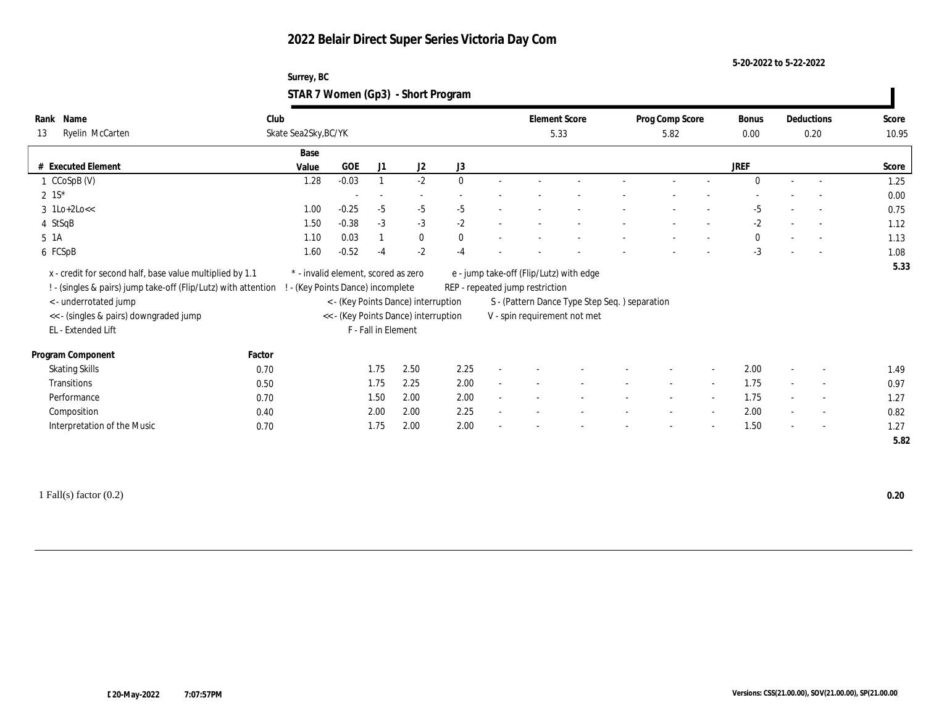**5-20-2022 to 5-22-2022**

| Surrey, BC                         |  |
|------------------------------------|--|
| STAR 7 Women (Gp3) - Short Program |  |

| Name<br>Rank                                                                                                                                                                                                        | Club                 |                                                                          |                     |                          |                                                                             |              |        | <b>Element Score</b>            |                                                                                                                          | Prog Comp Score          |                          | Bonus        |                          | Deductions               | Score |
|---------------------------------------------------------------------------------------------------------------------------------------------------------------------------------------------------------------------|----------------------|--------------------------------------------------------------------------|---------------------|--------------------------|-----------------------------------------------------------------------------|--------------|--------|---------------------------------|--------------------------------------------------------------------------------------------------------------------------|--------------------------|--------------------------|--------------|--------------------------|--------------------------|-------|
| Ryelin McCarten<br>13                                                                                                                                                                                               | Skate Sea2Sky, BC/YK |                                                                          |                     |                          |                                                                             |              |        | 5.33                            |                                                                                                                          | 5.82                     |                          | 0.00         |                          | 0.20                     | 10.95 |
|                                                                                                                                                                                                                     |                      | Base                                                                     |                     |                          |                                                                             |              |        |                                 |                                                                                                                          |                          |                          |              |                          |                          |       |
| # Executed Element                                                                                                                                                                                                  |                      | Value                                                                    | <b>GOE</b>          | J1                       | J <sub>2</sub>                                                              | J3           |        |                                 |                                                                                                                          |                          |                          | <b>JREF</b>  |                          |                          | Score |
| $1 \text{CCoSpB} (V)$                                                                                                                                                                                               |                      | 1.28                                                                     | $-0.03$             |                          | $-2$                                                                        | $\Omega$     |        |                                 |                                                                                                                          |                          |                          | $\theta$     | $\sim$                   | $\overline{a}$           | 1.25  |
| $2 \; 1S^*$                                                                                                                                                                                                         |                      |                                                                          |                     | $\overline{\phantom{a}}$ | $\overline{\phantom{a}}$                                                    |              |        |                                 |                                                                                                                          |                          |                          |              |                          |                          | 0.00  |
| $3 \text{ lLo+2Lo<<}$                                                                                                                                                                                               |                      | 1.00                                                                     | $-0.25$             | $-5$                     | $-5$                                                                        | $-5$         |        |                                 |                                                                                                                          |                          |                          | $-5$         |                          | $\overline{a}$           | 0.75  |
| 4 StSqB                                                                                                                                                                                                             |                      | 1.50                                                                     | $-0.38$             | $-3$                     | $-3$                                                                        | $-2$         |        |                                 |                                                                                                                          |                          |                          | $-2$         |                          |                          | 1.12  |
| 5 1A                                                                                                                                                                                                                |                      | 1.10                                                                     | 0.03                |                          | $\bf{0}$                                                                    | $\mathbf{0}$ |        |                                 |                                                                                                                          |                          |                          | $\mathbf{0}$ |                          | $\overline{\phantom{a}}$ | 1.13  |
| 6 FCSpB                                                                                                                                                                                                             |                      | 1.60                                                                     | $-0.52$             | $-4$                     | $-2$                                                                        | $-4$         |        |                                 |                                                                                                                          |                          |                          | $-3$         |                          |                          | 1.08  |
| x - credit for second half, base value multiplied by 1.1<br>! - (singles & pairs) jump take-off (Flip/Lutz) with attention<br>< - underrotated jump<br><< - (singles & pairs) downgraded jump<br>EL - Extended Lift |                      | * - invalid element, scored as zero<br>! - (Key Points Dance) incomplete | F - Fall in Element |                          | < - (Key Points Dance) interruption<br><< - (Key Points Dance) interruption |              |        | REP - repeated jump restriction | e - jump take-off (Flip/Lutz) with edge<br>S - (Pattern Dance Type Step Seq.) separation<br>V - spin requirement not met |                          |                          |              |                          |                          | 5.33  |
| Program Component                                                                                                                                                                                                   | Factor               |                                                                          |                     |                          |                                                                             |              |        |                                 |                                                                                                                          |                          |                          |              |                          |                          |       |
| <b>Skating Skills</b>                                                                                                                                                                                               | 0.70                 |                                                                          |                     | 1.75                     | 2.50                                                                        | 2.25         |        |                                 |                                                                                                                          |                          |                          | 2.00         |                          | $\overline{\phantom{a}}$ | 1.49  |
| Transitions                                                                                                                                                                                                         | 0.50                 |                                                                          |                     | 1.75                     | 2.25                                                                        | 2.00         | $\sim$ |                                 |                                                                                                                          | $\overline{\phantom{a}}$ | $\sim$                   | 1.75         | $\sim$                   | $\overline{\phantom{a}}$ | 0.97  |
| Performance                                                                                                                                                                                                         | 0.70                 |                                                                          |                     | 1.50                     | 2.00                                                                        | 2.00         |        |                                 |                                                                                                                          | $\overline{\phantom{a}}$ | $\sim$                   | 1.75         |                          | $\sim$                   | 1.27  |
| Composition                                                                                                                                                                                                         | 0.40                 |                                                                          |                     | 2.00                     | 2.00                                                                        | 2.25         |        |                                 |                                                                                                                          | $\overline{\phantom{a}}$ | $\sim$                   | 2.00         | $\sim$                   | $\overline{\phantom{a}}$ | 0.82  |
| Interpretation of the Music                                                                                                                                                                                         | 0.70                 |                                                                          |                     | 1.75                     | 2.00                                                                        | 2.00         |        |                                 |                                                                                                                          |                          | $\overline{\phantom{a}}$ | 1.50         | $\overline{\phantom{a}}$ | $\sim$                   | 1.27  |
|                                                                                                                                                                                                                     |                      |                                                                          |                     |                          |                                                                             |              |        |                                 |                                                                                                                          |                          |                          |              |                          |                          | 5.82  |
|                                                                                                                                                                                                                     |                      |                                                                          |                     |                          |                                                                             |              |        |                                 |                                                                                                                          |                          |                          |              |                          |                          |       |

1 Fall(s) factor (0.2) **0.20**